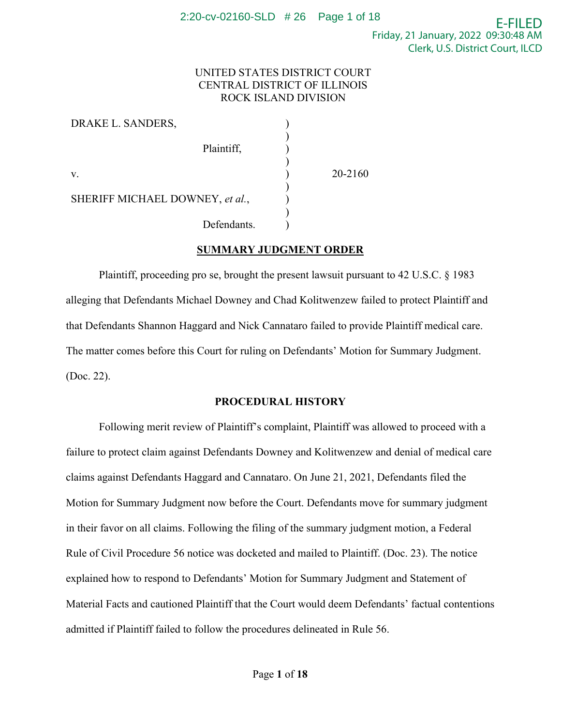## UNITED STATES DISTRICT COURT CENTRAL DISTRICT OF ILLINOIS ROCK ISLAND DIVISION

| DRAKE L. SANDERS,               |         |
|---------------------------------|---------|
| Plaintiff,                      |         |
| V.                              | 20-2160 |
| SHERIFF MICHAEL DOWNEY, et al., |         |
| Defendants.                     |         |

## **SUMMARY JUDGMENT ORDER**

Plaintiff, proceeding pro se, brought the present lawsuit pursuant to 42 U.S.C. § 1983 alleging that Defendants Michael Downey and Chad Kolitwenzew failed to protect Plaintiff and that Defendants Shannon Haggard and Nick Cannataro failed to provide Plaintiff medical care. The matter comes before this Court for ruling on Defendants' Motion for Summary Judgment. (Doc. 22).

### **PROCEDURAL HISTORY**

Following merit review of Plaintiff's complaint, Plaintiff was allowed to proceed with a failure to protect claim against Defendants Downey and Kolitwenzew and denial of medical care claims against Defendants Haggard and Cannataro. On June 21, 2021, Defendants filed the Motion for Summary Judgment now before the Court. Defendants move for summary judgment in their favor on all claims. Following the filing of the summary judgment motion, a Federal Rule of Civil Procedure 56 notice was docketed and mailed to Plaintiff. (Doc. 23). The notice explained how to respond to Defendants' Motion for Summary Judgment and Statement of Material Facts and cautioned Plaintiff that the Court would deem Defendants' factual contentions admitted if Plaintiff failed to follow the procedures delineated in Rule 56.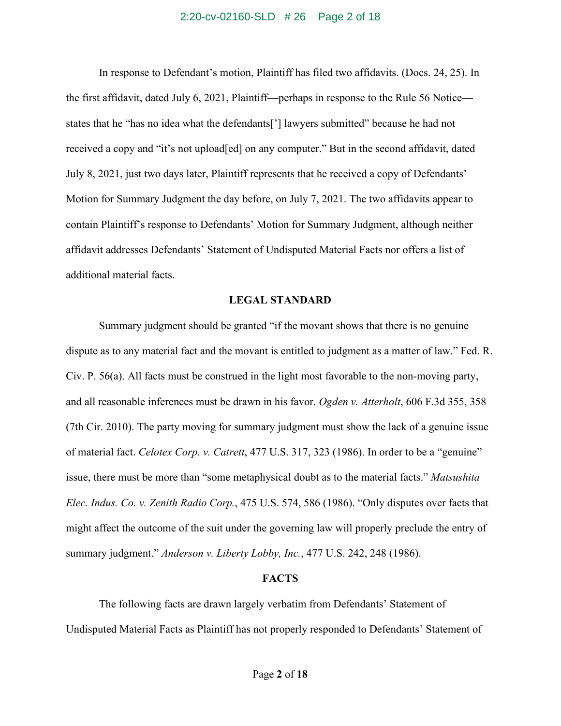### 2:20-cv-02160-SLD # 26 Page 2 of 18

In response to Defendant's motion, Plaintiff has filed two affidavits. (Docs. 24, 25). In the first affidavit, dated July 6, 2021, Plaintiff—perhaps in response to the Rule 56 Notice states that he "has no idea what the defendants['] lawyers submitted" because he had not received a copy and "it's not upload[ed] on any computer." But in the second affidavit, dated July 8, 2021, just two days later, Plaintiff represents that he received a copy of Defendants' Motion for Summary Judgment the day before, on July 7, 2021. The two affidavits appear to contain Plaintiff's response to Defendants' Motion for Summary Judgment, although neither affidavit addresses Defendants' Statement of Undisputed Material Facts nor offers a list of additional material facts.

### **LEGAL STANDARD**

Summary judgment should be granted "if the movant shows that there is no genuine dispute as to any material fact and the movant is entitled to judgment as a matter of law." Fed. R. Civ. P. 56(a). All facts must be construed in the light most favorable to the non-moving party, and all reasonable inferences must be drawn in his favor. *Ogden v. Atterholt*, 606 F.3d 355, 358 (7th Cir. 2010). The party moving for summary judgment must show the lack of a genuine issue of material fact. *Celotex Corp. v. Catrett*, 477 U.S. 317, 323 (1986). In order to be a "genuine" issue, there must be more than "some metaphysical doubt as to the material facts." *Matsushita Elec. Indus. Co. v. Zenith Radio Corp.*, 475 U.S. 574, 586 (1986). "Only disputes over facts that might affect the outcome of the suit under the governing law will properly preclude the entry of summary judgment." *Anderson v. Liberty Lobby, Inc.*, 477 U.S. 242, 248 (1986).

#### **FACTS**

The following facts are drawn largely verbatim from Defendants' Statement of Undisputed Material Facts as Plaintiff has not properly responded to Defendants' Statement of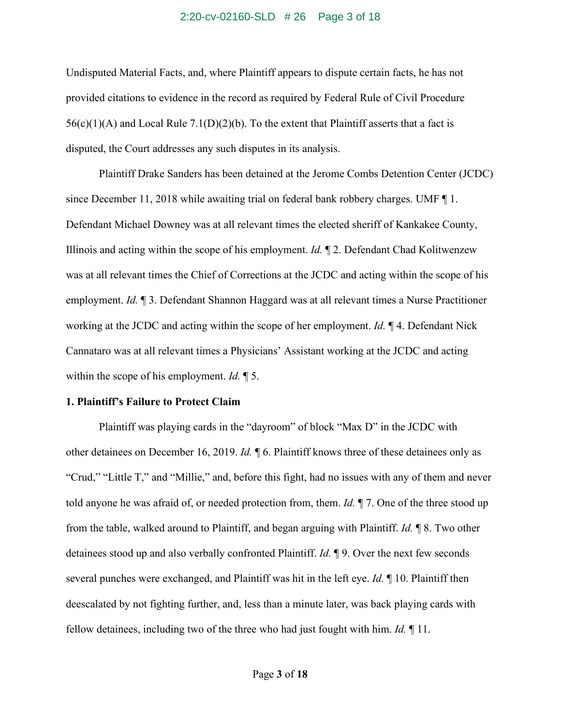### 2:20-cv-02160-SLD # 26 Page 3 of 18

Undisputed Material Facts, and, where Plaintiff appears to dispute certain facts, he has not provided citations to evidence in the record as required by Federal Rule of Civil Procedure  $56(c)(1)(A)$  and Local Rule 7.1(D)(2)(b). To the extent that Plaintiff asserts that a fact is disputed, the Court addresses any such disputes in its analysis.

Plaintiff Drake Sanders has been detained at the Jerome Combs Detention Center (JCDC) since December 11, 2018 while awaiting trial on federal bank robbery charges. UMF ¶ 1. Defendant Michael Downey was at all relevant times the elected sheriff of Kankakee County, Illinois and acting within the scope of his employment. *Id.* ¶ 2. Defendant Chad Kolitwenzew was at all relevant times the Chief of Corrections at the JCDC and acting within the scope of his employment. *Id.* ¶ 3. Defendant Shannon Haggard was at all relevant times a Nurse Practitioner working at the JCDC and acting within the scope of her employment. *Id.* ¶ 4. Defendant Nick Cannataro was at all relevant times a Physicians' Assistant working at the JCDC and acting within the scope of his employment. *Id.* ¶ 5.

### **1. Plaintiff's Failure to Protect Claim**

Plaintiff was playing cards in the "dayroom" of block "Max D" in the JCDC with other detainees on December 16, 2019. *Id.* ¶ 6. Plaintiff knows three of these detainees only as "Crud," "Little T," and "Millie," and, before this fight, had no issues with any of them and never told anyone he was afraid of, or needed protection from, them. *Id.* ¶ 7. One of the three stood up from the table, walked around to Plaintiff, and began arguing with Plaintiff. *Id.* ¶ 8. Two other detainees stood up and also verbally confronted Plaintiff. *Id.* ¶ 9. Over the next few seconds several punches were exchanged, and Plaintiff was hit in the left eye. *Id.* ¶ 10. Plaintiff then deescalated by not fighting further, and, less than a minute later, was back playing cards with fellow detainees, including two of the three who had just fought with him. *Id.* ¶ 11.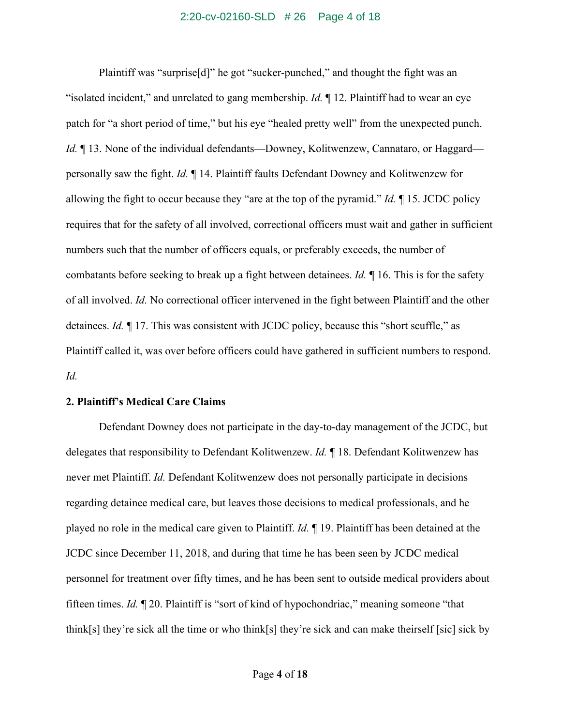#### 2:20-cv-02160-SLD # 26 Page 4 of 18

Plaintiff was "surprise[d]" he got "sucker-punched," and thought the fight was an "isolated incident," and unrelated to gang membership. *Id.* ¶ 12. Plaintiff had to wear an eye patch for "a short period of time," but his eye "healed pretty well" from the unexpected punch. *Id.* 13. None of the individual defendants—Downey, Kolitwenzew, Cannataro, or Haggard personally saw the fight. *Id.* ¶ 14. Plaintiff faults Defendant Downey and Kolitwenzew for allowing the fight to occur because they "are at the top of the pyramid." *Id.* ¶ 15. JCDC policy requires that for the safety of all involved, correctional officers must wait and gather in sufficient numbers such that the number of officers equals, or preferably exceeds, the number of combatants before seeking to break up a fight between detainees. *Id.* ¶ 16. This is for the safety of all involved. *Id.* No correctional officer intervened in the fight between Plaintiff and the other detainees. *Id.* ¶ 17. This was consistent with JCDC policy, because this "short scuffle," as Plaintiff called it, was over before officers could have gathered in sufficient numbers to respond. *Id.*

## **2. Plaintiff's Medical Care Claims**

Defendant Downey does not participate in the day-to-day management of the JCDC, but delegates that responsibility to Defendant Kolitwenzew. *Id.* ¶ 18. Defendant Kolitwenzew has never met Plaintiff. *Id.* Defendant Kolitwenzew does not personally participate in decisions regarding detainee medical care, but leaves those decisions to medical professionals, and he played no role in the medical care given to Plaintiff. *Id.* ¶ 19. Plaintiff has been detained at the JCDC since December 11, 2018, and during that time he has been seen by JCDC medical personnel for treatment over fifty times, and he has been sent to outside medical providers about fifteen times. *Id.* ¶ 20. Plaintiff is "sort of kind of hypochondriac," meaning someone "that think[s] they're sick all the time or who think[s] they're sick and can make theirself [sic] sick by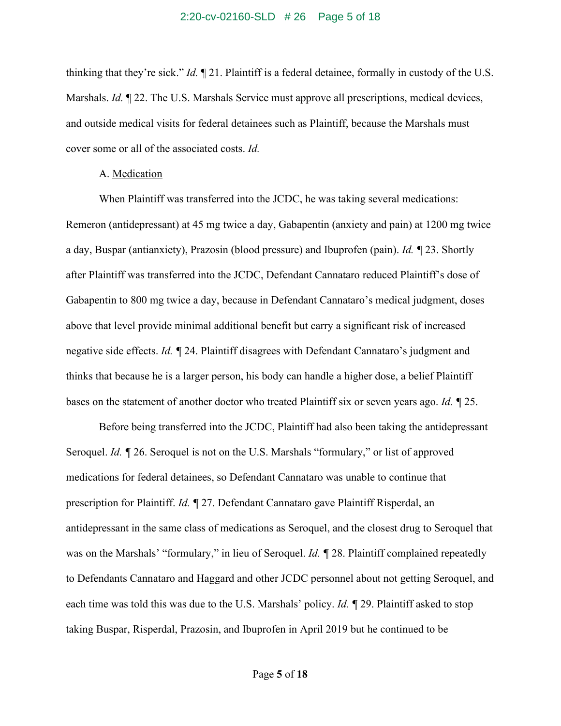#### 2:20-cv-02160-SLD # 26 Page 5 of 18

thinking that they're sick." *Id.* ¶ 21. Plaintiff is a federal detainee, formally in custody of the U.S. Marshals. *Id.* 122. The U.S. Marshals Service must approve all prescriptions, medical devices, and outside medical visits for federal detainees such as Plaintiff, because the Marshals must cover some or all of the associated costs. *Id.*

#### A. Medication

When Plaintiff was transferred into the JCDC, he was taking several medications: Remeron (antidepressant) at 45 mg twice a day, Gabapentin (anxiety and pain) at 1200 mg twice a day, Buspar (antianxiety), Prazosin (blood pressure) and Ibuprofen (pain). *Id. ¶* 23. Shortly after Plaintiff was transferred into the JCDC, Defendant Cannataro reduced Plaintiff's dose of Gabapentin to 800 mg twice a day, because in Defendant Cannataro's medical judgment, doses above that level provide minimal additional benefit but carry a significant risk of increased negative side effects. *Id. ¶* 24. Plaintiff disagrees with Defendant Cannataro's judgment and thinks that because he is a larger person, his body can handle a higher dose, a belief Plaintiff bases on the statement of another doctor who treated Plaintiff six or seven years ago. *Id. ¶* 25.

Before being transferred into the JCDC, Plaintiff had also been taking the antidepressant Seroquel. *Id. ¶* 26. Seroquel is not on the U.S. Marshals "formulary," or list of approved medications for federal detainees, so Defendant Cannataro was unable to continue that prescription for Plaintiff. *Id. ¶* 27. Defendant Cannataro gave Plaintiff Risperdal, an antidepressant in the same class of medications as Seroquel, and the closest drug to Seroquel that was on the Marshals' "formulary," in lieu of Seroquel. *Id. ¶* 28. Plaintiff complained repeatedly to Defendants Cannataro and Haggard and other JCDC personnel about not getting Seroquel, and each time was told this was due to the U.S. Marshals' policy. *Id. ¶* 29. Plaintiff asked to stop taking Buspar, Risperdal, Prazosin, and Ibuprofen in April 2019 but he continued to be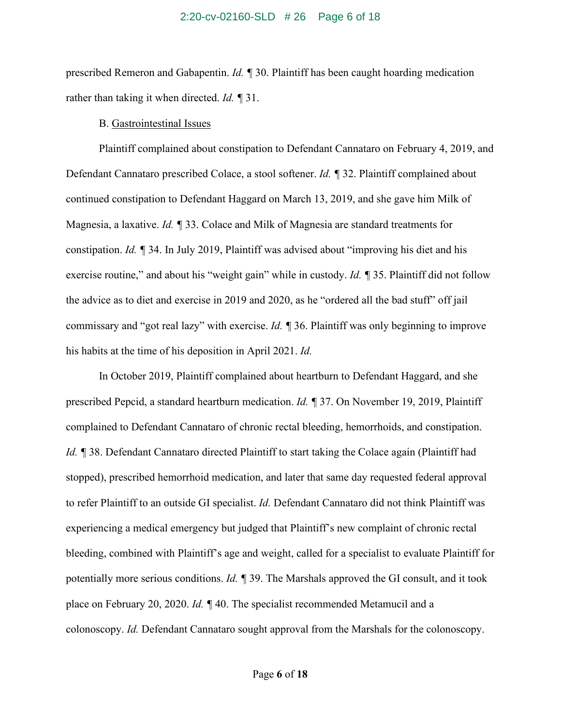#### 2:20-cv-02160-SLD # 26 Page 6 of 18

prescribed Remeron and Gabapentin. *Id. ¶* 30. Plaintiff has been caught hoarding medication rather than taking it when directed. *Id. ¶* 31.

## B. Gastrointestinal Issues

Plaintiff complained about constipation to Defendant Cannataro on February 4, 2019, and Defendant Cannataro prescribed Colace, a stool softener. *Id. ¶* 32. Plaintiff complained about continued constipation to Defendant Haggard on March 13, 2019, and she gave him Milk of Magnesia, a laxative. *Id. ¶* 33. Colace and Milk of Magnesia are standard treatments for constipation. *Id. ¶* 34. In July 2019, Plaintiff was advised about "improving his diet and his exercise routine," and about his "weight gain" while in custody. *Id. ¶* 35. Plaintiff did not follow the advice as to diet and exercise in 2019 and 2020, as he "ordered all the bad stuff" off jail commissary and "got real lazy" with exercise. *Id. ¶* 36. Plaintiff was only beginning to improve his habits at the time of his deposition in April 2021. *Id.*

In October 2019, Plaintiff complained about heartburn to Defendant Haggard, and she prescribed Pepcid, a standard heartburn medication. *Id. ¶* 37. On November 19, 2019, Plaintiff complained to Defendant Cannataro of chronic rectal bleeding, hemorrhoids, and constipation. *Id.* ¶ 38. Defendant Cannataro directed Plaintiff to start taking the Colace again (Plaintiff had stopped), prescribed hemorrhoid medication, and later that same day requested federal approval to refer Plaintiff to an outside GI specialist. *Id.* Defendant Cannataro did not think Plaintiff was experiencing a medical emergency but judged that Plaintiff's new complaint of chronic rectal bleeding, combined with Plaintiff's age and weight, called for a specialist to evaluate Plaintiff for potentially more serious conditions. *Id. ¶* 39. The Marshals approved the GI consult, and it took place on February 20, 2020. *Id. ¶* 40. The specialist recommended Metamucil and a colonoscopy. *Id.* Defendant Cannataro sought approval from the Marshals for the colonoscopy.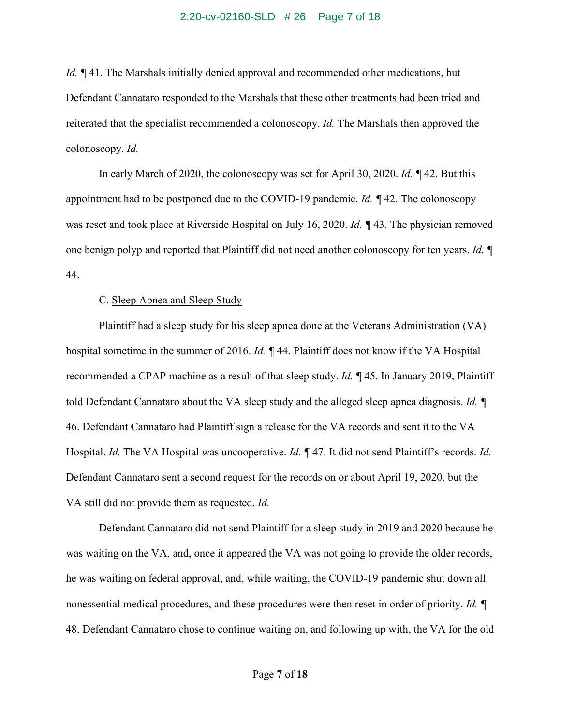### 2:20-cv-02160-SLD # 26 Page 7 of 18

*Id.* ¶ 41. The Marshals initially denied approval and recommended other medications, but Defendant Cannataro responded to the Marshals that these other treatments had been tried and reiterated that the specialist recommended a colonoscopy. *Id.* The Marshals then approved the colonoscopy. *Id.* 

In early March of 2020, the colonoscopy was set for April 30, 2020. *Id. ¶* 42. But this appointment had to be postponed due to the COVID-19 pandemic. *Id. ¶* 42. The colonoscopy was reset and took place at Riverside Hospital on July 16, 2020. *Id.* **143**. The physician removed one benign polyp and reported that Plaintiff did not need another colonoscopy for ten years. *Id. ¶*  44.

### C. Sleep Apnea and Sleep Study

Plaintiff had a sleep study for his sleep apnea done at the Veterans Administration (VA) hospital sometime in the summer of 2016. *Id. ¶* 44. Plaintiff does not know if the VA Hospital recommended a CPAP machine as a result of that sleep study. *Id. ¶* 45. In January 2019, Plaintiff told Defendant Cannataro about the VA sleep study and the alleged sleep apnea diagnosis. *Id. ¶*  46. Defendant Cannataro had Plaintiff sign a release for the VA records and sent it to the VA Hospital. *Id.* The VA Hospital was uncooperative. *Id. ¶* 47. It did not send Plaintiff's records. *Id.* Defendant Cannataro sent a second request for the records on or about April 19, 2020, but the VA still did not provide them as requested. *Id.* 

Defendant Cannataro did not send Plaintiff for a sleep study in 2019 and 2020 because he was waiting on the VA, and, once it appeared the VA was not going to provide the older records, he was waiting on federal approval, and, while waiting, the COVID-19 pandemic shut down all nonessential medical procedures, and these procedures were then reset in order of priority. *Id. ¶*  48. Defendant Cannataro chose to continue waiting on, and following up with, the VA for the old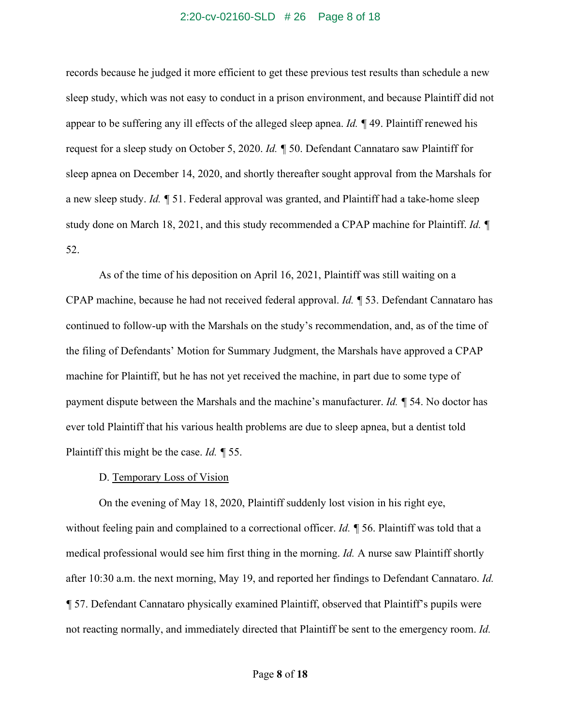#### 2:20-cv-02160-SLD # 26 Page 8 of 18

records because he judged it more efficient to get these previous test results than schedule a new sleep study, which was not easy to conduct in a prison environment, and because Plaintiff did not appear to be suffering any ill effects of the alleged sleep apnea. *Id. ¶* 49. Plaintiff renewed his request for a sleep study on October 5, 2020. *Id. ¶* 50. Defendant Cannataro saw Plaintiff for sleep apnea on December 14, 2020, and shortly thereafter sought approval from the Marshals for a new sleep study. *Id. ¶* 51. Federal approval was granted, and Plaintiff had a take-home sleep study done on March 18, 2021, and this study recommended a CPAP machine for Plaintiff. *Id. ¶*  52.

As of the time of his deposition on April 16, 2021, Plaintiff was still waiting on a CPAP machine, because he had not received federal approval. *Id. ¶* 53. Defendant Cannataro has continued to follow-up with the Marshals on the study's recommendation, and, as of the time of the filing of Defendants' Motion for Summary Judgment, the Marshals have approved a CPAP machine for Plaintiff, but he has not yet received the machine, in part due to some type of payment dispute between the Marshals and the machine's manufacturer. *Id. ¶* 54. No doctor has ever told Plaintiff that his various health problems are due to sleep apnea, but a dentist told Plaintiff this might be the case. *Id. ¶* 55.

### D. Temporary Loss of Vision

On the evening of May 18, 2020, Plaintiff suddenly lost vision in his right eye, without feeling pain and complained to a correctional officer. *Id.* **[56.** Plaintiff was told that a medical professional would see him first thing in the morning. *Id.* A nurse saw Plaintiff shortly after 10:30 a.m. the next morning, May 19, and reported her findings to Defendant Cannataro. *Id. ¶* 57. Defendant Cannataro physically examined Plaintiff, observed that Plaintiff's pupils were not reacting normally, and immediately directed that Plaintiff be sent to the emergency room. *Id.*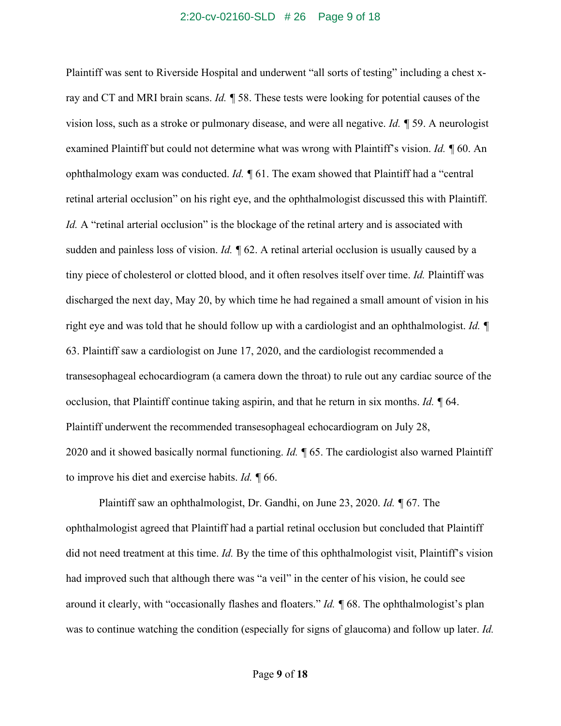#### 2:20-cv-02160-SLD # 26 Page 9 of 18

Plaintiff was sent to Riverside Hospital and underwent "all sorts of testing" including a chest xray and CT and MRI brain scans. *Id. ¶* 58. These tests were looking for potential causes of the vision loss, such as a stroke or pulmonary disease, and were all negative. *Id. ¶* 59. A neurologist examined Plaintiff but could not determine what was wrong with Plaintiff's vision. *Id. ¶* 60. An ophthalmology exam was conducted. *Id. ¶* 61. The exam showed that Plaintiff had a "central retinal arterial occlusion" on his right eye, and the ophthalmologist discussed this with Plaintiff. *Id.* A "retinal arterial occlusion" is the blockage of the retinal artery and is associated with sudden and painless loss of vision. *Id.*  $\sqrt{\ }$  62. A retinal arterial occlusion is usually caused by a tiny piece of cholesterol or clotted blood, and it often resolves itself over time. *Id.* Plaintiff was discharged the next day, May 20, by which time he had regained a small amount of vision in his right eye and was told that he should follow up with a cardiologist and an ophthalmologist. *Id. ¶*  63. Plaintiff saw a cardiologist on June 17, 2020, and the cardiologist recommended a transesophageal echocardiogram (a camera down the throat) to rule out any cardiac source of the occlusion, that Plaintiff continue taking aspirin, and that he return in six months. *Id. ¶* 64. Plaintiff underwent the recommended transesophageal echocardiogram on July 28, 2020 and it showed basically normal functioning. *Id. ¶* 65. The cardiologist also warned Plaintiff to improve his diet and exercise habits. *Id. ¶* 66.

Plaintiff saw an ophthalmologist, Dr. Gandhi, on June 23, 2020. *Id. ¶* 67. The ophthalmologist agreed that Plaintiff had a partial retinal occlusion but concluded that Plaintiff did not need treatment at this time. *Id.* By the time of this ophthalmologist visit, Plaintiff's vision had improved such that although there was "a veil" in the center of his vision, he could see around it clearly, with "occasionally flashes and floaters." *Id. ¶* 68. The ophthalmologist's plan was to continue watching the condition (especially for signs of glaucoma) and follow up later. *Id.*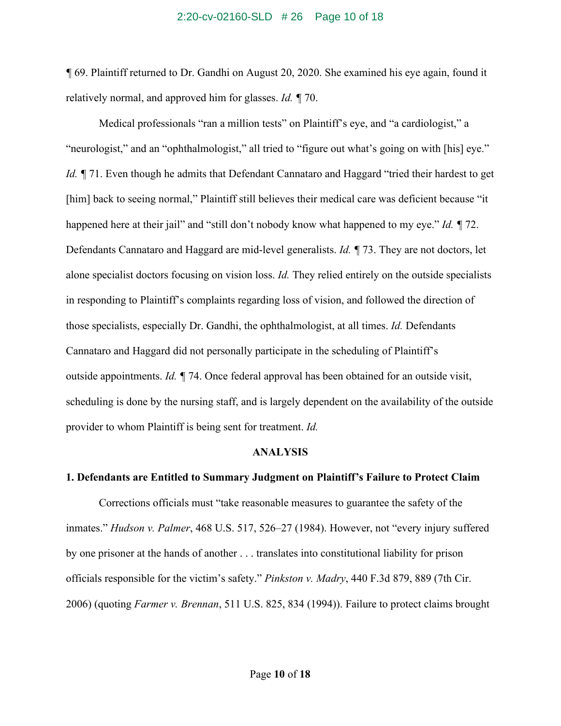#### 2:20-cv-02160-SLD # 26 Page 10 of 18

*¶* 69. Plaintiff returned to Dr. Gandhi on August 20, 2020. She examined his eye again, found it relatively normal, and approved him for glasses. *Id. ¶* 70.

Medical professionals "ran a million tests" on Plaintiff's eye, and "a cardiologist," a "neurologist," and an "ophthalmologist," all tried to "figure out what's going on with [his] eye." *Id.* ¶ 71. Even though he admits that Defendant Cannataro and Haggard "tried their hardest to get [him] back to seeing normal," Plaintiff still believes their medical care was deficient because "it happened here at their jail" and "still don't nobody know what happened to my eye." *Id. ¶* 72. Defendants Cannataro and Haggard are mid-level generalists. *Id. ¶* 73. They are not doctors, let alone specialist doctors focusing on vision loss. *Id.* They relied entirely on the outside specialists in responding to Plaintiff's complaints regarding loss of vision, and followed the direction of those specialists, especially Dr. Gandhi, the ophthalmologist, at all times. *Id.* Defendants Cannataro and Haggard did not personally participate in the scheduling of Plaintiff's outside appointments. *Id. ¶* 74. Once federal approval has been obtained for an outside visit, scheduling is done by the nursing staff, and is largely dependent on the availability of the outside provider to whom Plaintiff is being sent for treatment. *Id.*

#### **ANALYSIS**

## **1. Defendants are Entitled to Summary Judgment on Plaintiff's Failure to Protect Claim**

Corrections officials must "take reasonable measures to guarantee the safety of the inmates." *Hudson v. Palmer*, 468 U.S. 517, 526–27 (1984). However, not "every injury suffered by one prisoner at the hands of another . . . translates into constitutional liability for prison officials responsible for the victim's safety." *Pinkston v. Madry*, 440 F.3d 879, 889 (7th Cir. 2006) (quoting *Farmer v. Brennan*, 511 U.S. 825, 834 (1994)). Failure to protect claims brought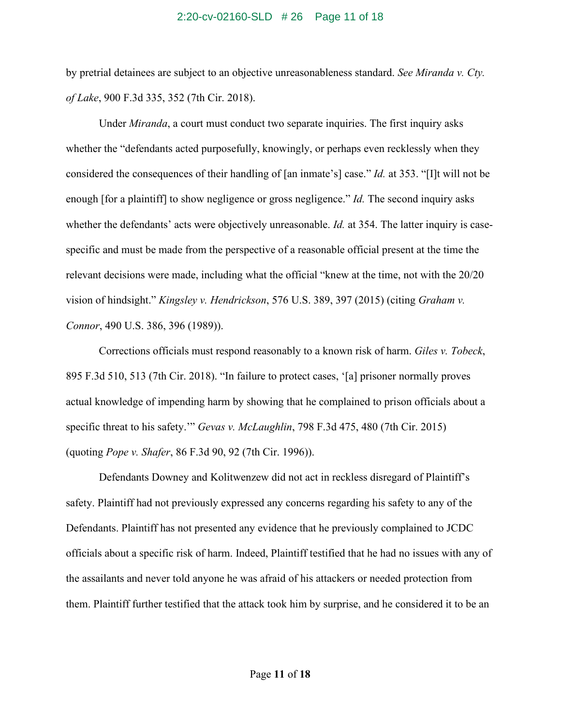#### 2:20-cv-02160-SLD # 26 Page 11 of 18

by pretrial detainees are subject to an objective unreasonableness standard. *See Miranda v. Cty. of Lake*, 900 F.3d 335, 352 (7th Cir. 2018).

Under *Miranda*, a court must conduct two separate inquiries. The first inquiry asks whether the "defendants acted purposefully, knowingly, or perhaps even recklessly when they considered the consequences of their handling of [an inmate's] case." *Id.* at 353. "[I]t will not be enough [for a plaintiff] to show negligence or gross negligence." *Id.* The second inquiry asks whether the defendants' acts were objectively unreasonable. *Id.* at 354. The latter inquiry is casespecific and must be made from the perspective of a reasonable official present at the time the relevant decisions were made, including what the official "knew at the time, not with the 20/20 vision of hindsight." *Kingsley v. Hendrickson*, 576 U.S. 389, 397 (2015) (citing *Graham v. Connor*, 490 U.S. 386, 396 (1989)).

Corrections officials must respond reasonably to a known risk of harm. *Giles v. Tobeck*, 895 F.3d 510, 513 (7th Cir. 2018). "In failure to protect cases, '[a] prisoner normally proves actual knowledge of impending harm by showing that he complained to prison officials about a specific threat to his safety.'" *Gevas v. McLaughlin*, 798 F.3d 475, 480 (7th Cir. 2015) (quoting *Pope v. Shafer*, 86 F.3d 90, 92 (7th Cir. 1996)).

Defendants Downey and Kolitwenzew did not act in reckless disregard of Plaintiff's safety. Plaintiff had not previously expressed any concerns regarding his safety to any of the Defendants. Plaintiff has not presented any evidence that he previously complained to JCDC officials about a specific risk of harm. Indeed, Plaintiff testified that he had no issues with any of the assailants and never told anyone he was afraid of his attackers or needed protection from them. Plaintiff further testified that the attack took him by surprise, and he considered it to be an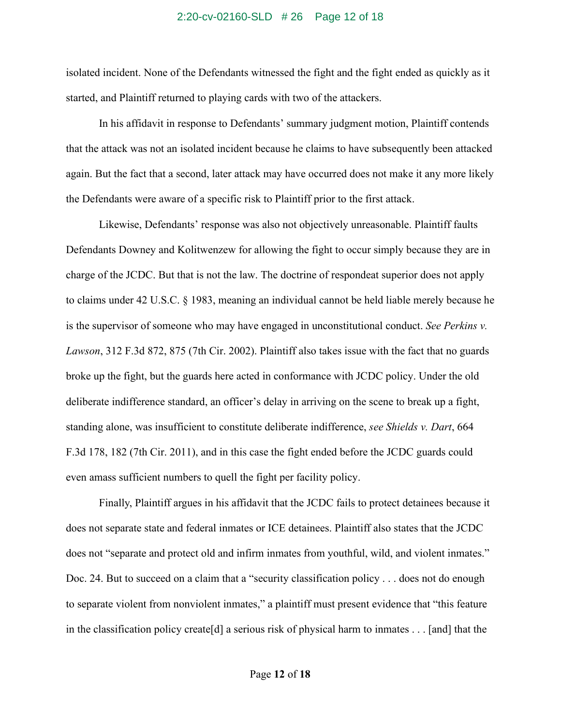#### 2:20-cv-02160-SLD # 26 Page 12 of 18

isolated incident. None of the Defendants witnessed the fight and the fight ended as quickly as it started, and Plaintiff returned to playing cards with two of the attackers.

In his affidavit in response to Defendants' summary judgment motion, Plaintiff contends that the attack was not an isolated incident because he claims to have subsequently been attacked again. But the fact that a second, later attack may have occurred does not make it any more likely the Defendants were aware of a specific risk to Plaintiff prior to the first attack.

Likewise, Defendants' response was also not objectively unreasonable. Plaintiff faults Defendants Downey and Kolitwenzew for allowing the fight to occur simply because they are in charge of the JCDC. But that is not the law. The doctrine of respondeat superior does not apply to claims under 42 U.S.C. § 1983, meaning an individual cannot be held liable merely because he is the supervisor of someone who may have engaged in unconstitutional conduct. *See Perkins v. Lawson*, 312 F.3d 872, 875 (7th Cir. 2002). Plaintiff also takes issue with the fact that no guards broke up the fight, but the guards here acted in conformance with JCDC policy. Under the old deliberate indifference standard, an officer's delay in arriving on the scene to break up a fight, standing alone, was insufficient to constitute deliberate indifference, *see Shields v. Dart*, 664 F.3d 178, 182 (7th Cir. 2011), and in this case the fight ended before the JCDC guards could even amass sufficient numbers to quell the fight per facility policy.

Finally, Plaintiff argues in his affidavit that the JCDC fails to protect detainees because it does not separate state and federal inmates or ICE detainees. Plaintiff also states that the JCDC does not "separate and protect old and infirm inmates from youthful, wild, and violent inmates." Doc. 24. But to succeed on a claim that a "security classification policy . . . does not do enough to separate violent from nonviolent inmates," a plaintiff must present evidence that "this feature in the classification policy create[d] a serious risk of physical harm to inmates . . . [and] that the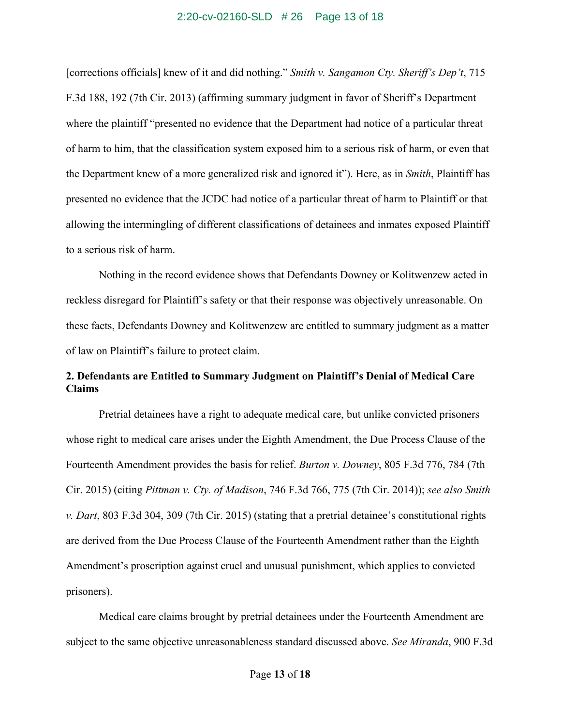#### 2:20-cv-02160-SLD # 26 Page 13 of 18

[corrections officials] knew of it and did nothing." *Smith v. Sangamon Cty. Sheriff's Dep't*, 715 F.3d 188, 192 (7th Cir. 2013) (affirming summary judgment in favor of Sheriff's Department where the plaintiff "presented no evidence that the Department had notice of a particular threat of harm to him, that the classification system exposed him to a serious risk of harm, or even that the Department knew of a more generalized risk and ignored it"). Here, as in *Smith*, Plaintiff has presented no evidence that the JCDC had notice of a particular threat of harm to Plaintiff or that allowing the intermingling of different classifications of detainees and inmates exposed Plaintiff to a serious risk of harm.

Nothing in the record evidence shows that Defendants Downey or Kolitwenzew acted in reckless disregard for Plaintiff's safety or that their response was objectively unreasonable. On these facts, Defendants Downey and Kolitwenzew are entitled to summary judgment as a matter of law on Plaintiff's failure to protect claim.

## **2. Defendants are Entitled to Summary Judgment on Plaintiff's Denial of Medical Care Claims**

Pretrial detainees have a right to adequate medical care, but unlike convicted prisoners whose right to medical care arises under the Eighth Amendment, the Due Process Clause of the Fourteenth Amendment provides the basis for relief. *Burton v. Downey*, 805 F.3d 776, 784 (7th Cir. 2015) (citing *Pittman v. Cty. of Madison*, 746 F.3d 766, 775 (7th Cir. 2014)); *see also Smith v. Dart*, 803 F.3d 304, 309 (7th Cir. 2015) (stating that a pretrial detainee's constitutional rights are derived from the Due Process Clause of the Fourteenth Amendment rather than the Eighth Amendment's proscription against cruel and unusual punishment, which applies to convicted prisoners).

Medical care claims brought by pretrial detainees under the Fourteenth Amendment are subject to the same objective unreasonableness standard discussed above. *See Miranda*, 900 F.3d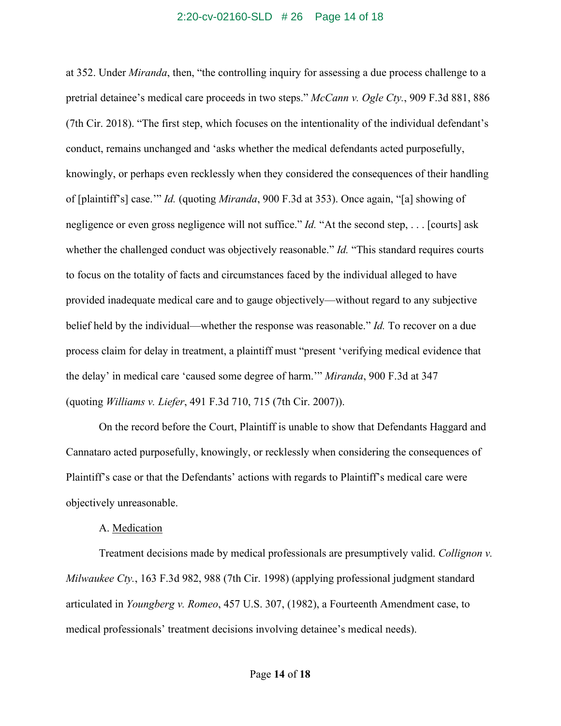#### 2:20-cv-02160-SLD # 26 Page 14 of 18

at 352. Under *Miranda*, then, "the controlling inquiry for assessing a due process challenge to a pretrial detainee's medical care proceeds in two steps." *McCann v. Ogle Cty.*, 909 F.3d 881, 886 (7th Cir. 2018). "The first step, which focuses on the intentionality of the individual defendant's conduct, remains unchanged and 'asks whether the medical defendants acted purposefully, knowingly, or perhaps even recklessly when they considered the consequences of their handling of [plaintiff's] case.'" *Id.* (quoting *Miranda*, 900 F.3d at 353). Once again, "[a] showing of negligence or even gross negligence will not suffice." *Id.* "At the second step, . . . [courts] ask whether the challenged conduct was objectively reasonable." *Id.* "This standard requires courts to focus on the totality of facts and circumstances faced by the individual alleged to have provided inadequate medical care and to gauge objectively—without regard to any subjective belief held by the individual—whether the response was reasonable." *Id.* To recover on a due process claim for delay in treatment, a plaintiff must "present 'verifying medical evidence that the delay' in medical care 'caused some degree of harm.'" *Miranda*, 900 F.3d at 347 (quoting *Williams v. Liefer*, 491 F.3d 710, 715 (7th Cir. 2007)).

On the record before the Court, Plaintiff is unable to show that Defendants Haggard and Cannataro acted purposefully, knowingly, or recklessly when considering the consequences of Plaintiff's case or that the Defendants' actions with regards to Plaintiff's medical care were objectively unreasonable.

#### A. Medication

Treatment decisions made by medical professionals are presumptively valid. *Collignon v. Milwaukee Cty.*, 163 F.3d 982, 988 (7th Cir. 1998) (applying professional judgment standard articulated in *Youngberg v. Romeo*, 457 U.S. 307, (1982), a Fourteenth Amendment case, to medical professionals' treatment decisions involving detainee's medical needs).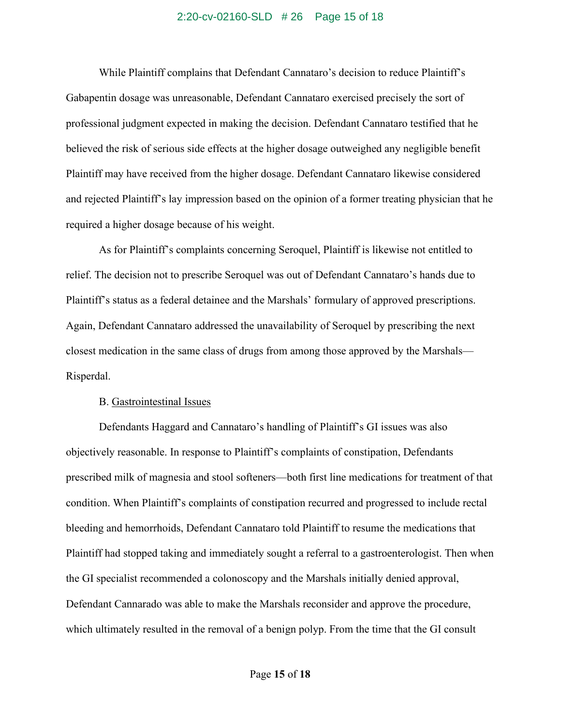### 2:20-cv-02160-SLD # 26 Page 15 of 18

While Plaintiff complains that Defendant Cannataro's decision to reduce Plaintiff's Gabapentin dosage was unreasonable, Defendant Cannataro exercised precisely the sort of professional judgment expected in making the decision. Defendant Cannataro testified that he believed the risk of serious side effects at the higher dosage outweighed any negligible benefit Plaintiff may have received from the higher dosage. Defendant Cannataro likewise considered and rejected Plaintiff's lay impression based on the opinion of a former treating physician that he required a higher dosage because of his weight.

As for Plaintiff's complaints concerning Seroquel, Plaintiff is likewise not entitled to relief. The decision not to prescribe Seroquel was out of Defendant Cannataro's hands due to Plaintiff's status as a federal detainee and the Marshals' formulary of approved prescriptions. Again, Defendant Cannataro addressed the unavailability of Seroquel by prescribing the next closest medication in the same class of drugs from among those approved by the Marshals— Risperdal.

#### B. Gastrointestinal Issues

Defendants Haggard and Cannataro's handling of Plaintiff's GI issues was also objectively reasonable. In response to Plaintiff's complaints of constipation, Defendants prescribed milk of magnesia and stool softeners—both first line medications for treatment of that condition. When Plaintiff's complaints of constipation recurred and progressed to include rectal bleeding and hemorrhoids, Defendant Cannataro told Plaintiff to resume the medications that Plaintiff had stopped taking and immediately sought a referral to a gastroenterologist. Then when the GI specialist recommended a colonoscopy and the Marshals initially denied approval, Defendant Cannarado was able to make the Marshals reconsider and approve the procedure, which ultimately resulted in the removal of a benign polyp. From the time that the GI consult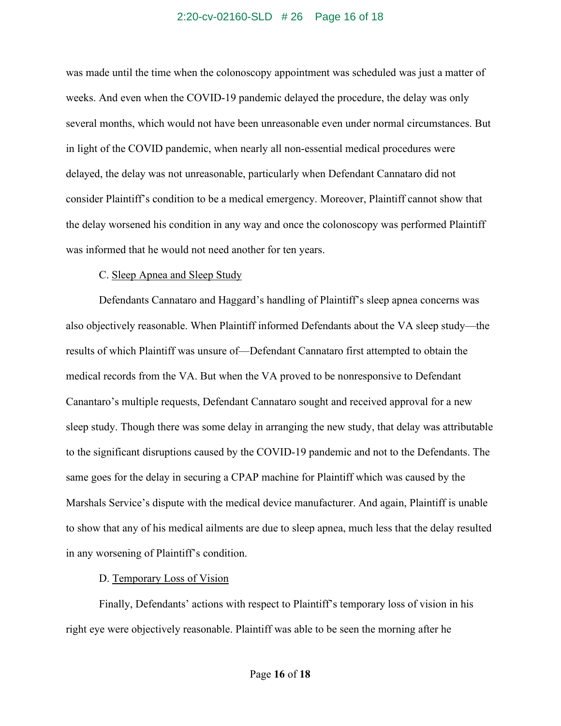#### 2:20-cv-02160-SLD # 26 Page 16 of 18

was made until the time when the colonoscopy appointment was scheduled was just a matter of weeks. And even when the COVID-19 pandemic delayed the procedure, the delay was only several months, which would not have been unreasonable even under normal circumstances. But in light of the COVID pandemic, when nearly all non-essential medical procedures were delayed, the delay was not unreasonable, particularly when Defendant Cannataro did not consider Plaintiff's condition to be a medical emergency. Moreover, Plaintiff cannot show that the delay worsened his condition in any way and once the colonoscopy was performed Plaintiff was informed that he would not need another for ten years.

#### C. Sleep Apnea and Sleep Study

Defendants Cannataro and Haggard's handling of Plaintiff's sleep apnea concerns was also objectively reasonable. When Plaintiff informed Defendants about the VA sleep study—the results of which Plaintiff was unsure of—Defendant Cannataro first attempted to obtain the medical records from the VA. But when the VA proved to be nonresponsive to Defendant Canantaro's multiple requests, Defendant Cannataro sought and received approval for a new sleep study. Though there was some delay in arranging the new study, that delay was attributable to the significant disruptions caused by the COVID-19 pandemic and not to the Defendants. The same goes for the delay in securing a CPAP machine for Plaintiff which was caused by the Marshals Service's dispute with the medical device manufacturer. And again, Plaintiff is unable to show that any of his medical ailments are due to sleep apnea, much less that the delay resulted in any worsening of Plaintiff's condition.

### D. Temporary Loss of Vision

Finally, Defendants' actions with respect to Plaintiff's temporary loss of vision in his right eye were objectively reasonable. Plaintiff was able to be seen the morning after he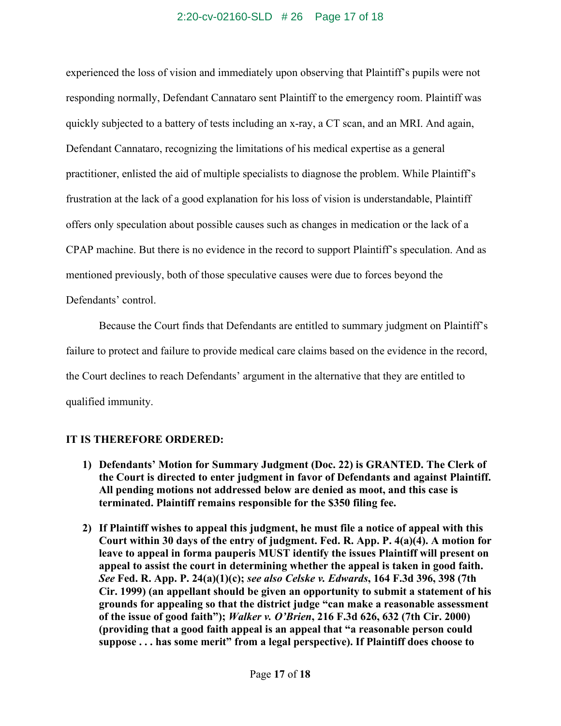## 2:20-cv-02160-SLD # 26 Page 17 of 18

experienced the loss of vision and immediately upon observing that Plaintiff's pupils were not responding normally, Defendant Cannataro sent Plaintiff to the emergency room. Plaintiff was quickly subjected to a battery of tests including an x-ray, a CT scan, and an MRI. And again, Defendant Cannataro, recognizing the limitations of his medical expertise as a general practitioner, enlisted the aid of multiple specialists to diagnose the problem. While Plaintiff's frustration at the lack of a good explanation for his loss of vision is understandable, Plaintiff offers only speculation about possible causes such as changes in medication or the lack of a CPAP machine. But there is no evidence in the record to support Plaintiff's speculation. And as mentioned previously, both of those speculative causes were due to forces beyond the Defendants' control.

Because the Court finds that Defendants are entitled to summary judgment on Plaintiff's failure to protect and failure to provide medical care claims based on the evidence in the record, the Court declines to reach Defendants' argument in the alternative that they are entitled to qualified immunity.

## **IT IS THEREFORE ORDERED:**

- **1) Defendants' Motion for Summary Judgment (Doc. 22) is GRANTED. The Clerk of the Court is directed to enter judgment in favor of Defendants and against Plaintiff. All pending motions not addressed below are denied as moot, and this case is terminated. Plaintiff remains responsible for the \$350 filing fee.**
- **2) If Plaintiff wishes to appeal this judgment, he must file a notice of appeal with this Court within 30 days of the entry of judgment. Fed. R. App. P. 4(a)(4). A motion for leave to appeal in forma pauperis MUST identify the issues Plaintiff will present on appeal to assist the court in determining whether the appeal is taken in good faith.**  *See* **Fed. R. App. P. 24(a)(1)(c);** *see also Celske v. Edwards***, 164 F.3d 396, 398 (7th Cir. 1999) (an appellant should be given an opportunity to submit a statement of his grounds for appealing so that the district judge "can make a reasonable assessment of the issue of good faith");** *Walker v. O'Brien***, 216 F.3d 626, 632 (7th Cir. 2000) (providing that a good faith appeal is an appeal that "a reasonable person could suppose . . . has some merit" from a legal perspective). If Plaintiff does choose to**